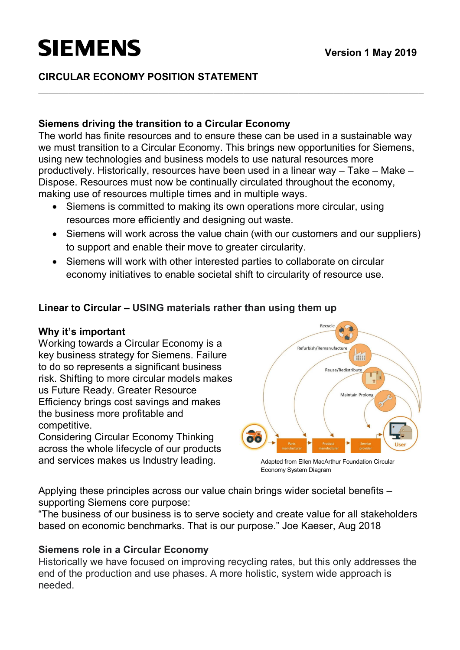## **SIEMENS**

## **CIRCULAR ECONOMY POSITION STATEMENT**

### **Siemens driving the transition to a Circular Economy**

The world has finite resources and to ensure these can be used in a sustainable way we must transition to a Circular Economy. This brings new opportunities for Siemens, using new technologies and business models to use natural resources more productively. Historically, resources have been used in a linear way – Take – Make – Dispose. Resources must now be continually circulated throughout the economy, making use of resources multiple times and in multiple ways.

- Siemens is committed to making its own operations more circular, using resources more efficiently and designing out waste.
- · Siemens will work across the value chain (with our customers and our suppliers) to support and enable their move to greater circularity.
- · Siemens will work with other interested parties to collaborate on circular economy initiatives to enable societal shift to circularity of resource use.

## **Linear to Circular – USING materials rather than using them up**

### **Why it's important**

Working towards a Circular Economy is a key business strategy for Siemens. Failure to do so represents a significant business risk. Shifting to more circular models makes us Future Ready. Greater Resource Efficiency brings cost savings and makes the business more profitable and competitive.

Considering Circular Economy Thinking across the whole lifecycle of our products and services makes us Industry leading. Adapted from Ellen MacArthur Foundation Circular



Economy System Diagram

Applying these principles across our value chain brings wider societal benefits – supporting Siemens core purpose:

"The business of our business is to serve society and create value for all stakeholders based on economic benchmarks. That is our purpose." Joe Kaeser, Aug 2018

### **Siemens role in a Circular Economy**

Historically we have focused on improving recycling rates, but this only addresses the end of the production and use phases. A more holistic, system wide approach is needed.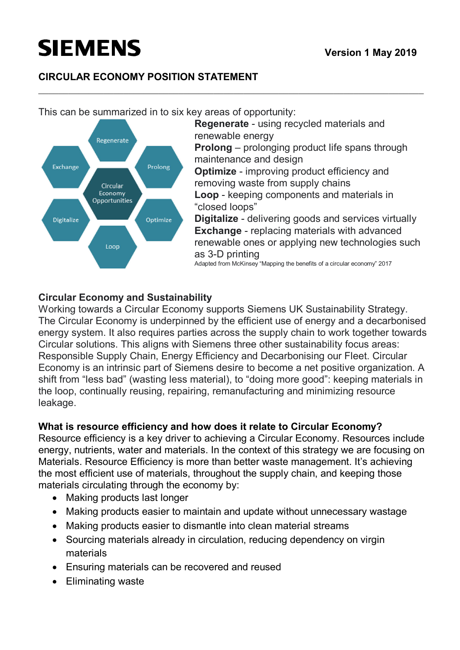# **SIEMENS**

## **CIRCULAR ECONOMY POSITION STATEMENT**

**Regenerate** - using recycled materials and renewable energy Regenerate **Prolong** – prolonging product life spans through maintenance and design Exchange Prolong **Optimize** - improving product efficiency and removing waste from supply chains Circular Economy **Loop** - keeping components and materials in Opportunities "closed loops" **Digitalize** - delivering goods and services virtually Digitalize Optimize **Exchange** - replacing materials with advanced renewable ones or applying new technologies such Loop as 3-D printing Adapted from McKinsey "Mapping the benefits of a circular economy" 2017

## **Circular Economy and Sustainability**

Working towards a Circular Economy supports Siemens UK Sustainability Strategy. The Circular Economy is underpinned by the efficient use of energy and a decarbonised energy system. It also requires parties across the supply chain to work together towards Circular solutions. This aligns with Siemens three other sustainability focus areas: Responsible Supply Chain, Energy Efficiency and Decarbonising our Fleet. Circular Economy is an intrinsic part of Siemens desire to become a net positive organization. A shift from "less bad" (wasting less material), to "doing more good": keeping materials in the loop, continually reusing, repairing, remanufacturing and minimizing resource leakage.

## **What is resource efficiency and how does it relate to Circular Economy?**

Resource efficiency is a key driver to achieving a Circular Economy. Resources include energy, nutrients, water and materials. In the context of this strategy we are focusing on Materials. Resource Efficiency is more than better waste management. It's achieving the most efficient use of materials, throughout the supply chain, and keeping those materials circulating through the economy by:

- Making products last longer
- · Making products easier to maintain and update without unnecessary wastage
- · Making products easier to dismantle into clean material streams
- · Sourcing materials already in circulation, reducing dependency on virgin materials
- · Ensuring materials can be recovered and reused
- · Eliminating waste

This can be summarized in to six key areas of opportunity: